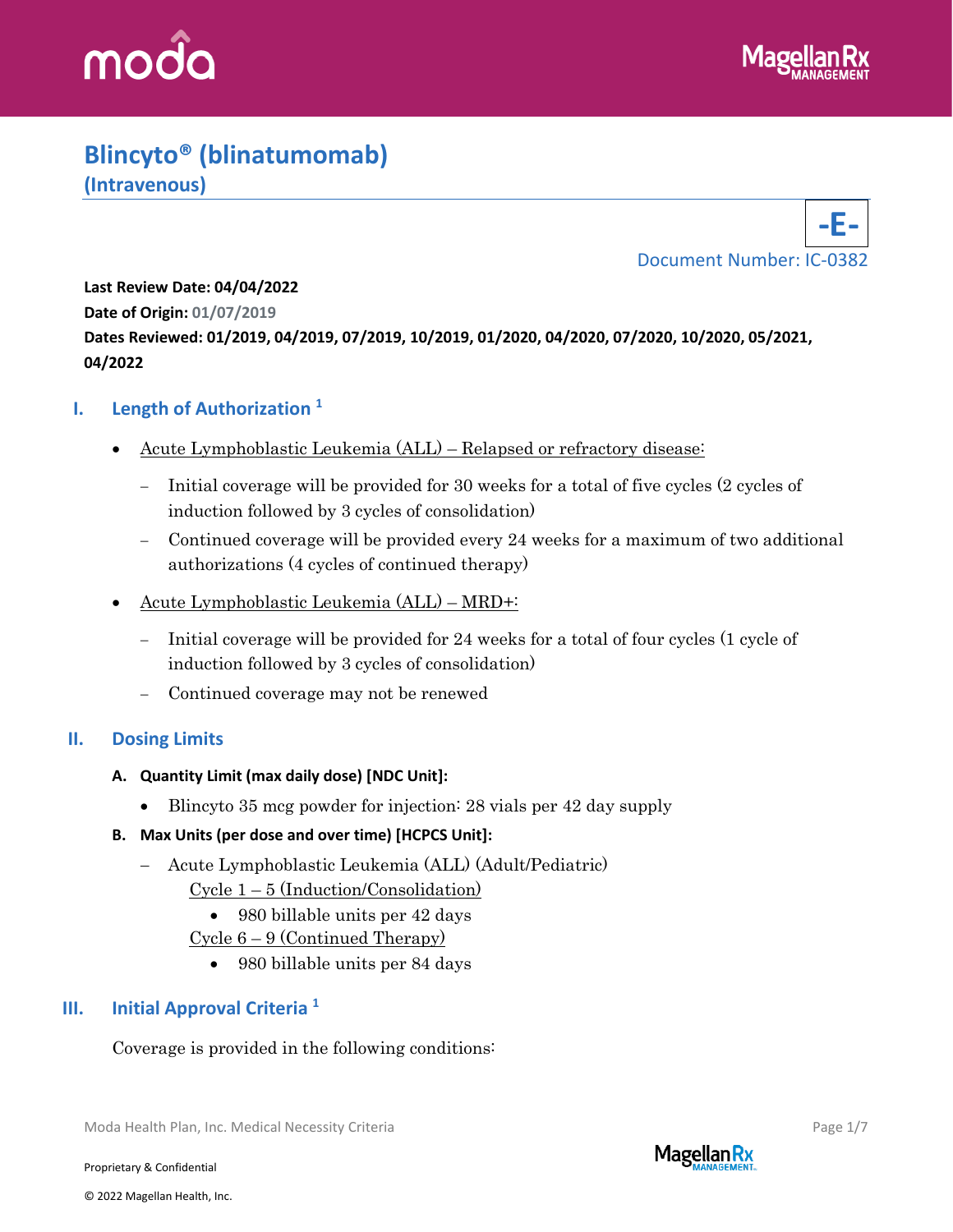



# **Blincyto® (blinatumomab) (Intravenous)**



**Last Review Date: 04/04/2022 Date of Origin: 01/07/2019 Dates Reviewed: 01/2019, 04/2019, 07/2019, 10/2019, 01/2020, 04/2020, 07/2020, 10/2020, 05/2021, 04/2022**

#### **I. Length of Authorization <sup>1</sup>**

- Acute Lymphoblastic Leukemia (ALL) Relapsed or refractory disease:
	- − Initial coverage will be provided for 30 weeks for a total of five cycles (2 cycles of induction followed by 3 cycles of consolidation)
	- − Continued coverage will be provided every 24 weeks for a maximum of two additional authorizations (4 cycles of continued therapy)
- Acute Lymphoblastic Leukemia (ALL) MRD+:
	- − Initial coverage will be provided for 24 weeks for a total of four cycles (1 cycle of induction followed by 3 cycles of consolidation)
	- − Continued coverage may not be renewed

#### **II. Dosing Limits**

#### **A. Quantity Limit (max daily dose) [NDC Unit]:**

- Blincyto 35 mcg powder for injection: 28 vials per 42 day supply
- **B. Max Units (per dose and over time) [HCPCS Unit]:**
	- − Acute Lymphoblastic Leukemia (ALL) (Adult/Pediatric)
		- Cycle  $1 5$  (Induction/Consolidation)
			- 980 billable units per 42 days
		- Cycle 6 9 (Continued Therapy)
			- 980 billable units per 84 days

## **III. Initial Approval Criteria <sup>1</sup>**

Coverage is provided in the following conditions:

Moda Health Plan, Inc. Medical Necessity Criteria **Page 1/7** and *Page 1/7* and *Page 1/7* and *Page 1/7* 

Proprietary & Confidential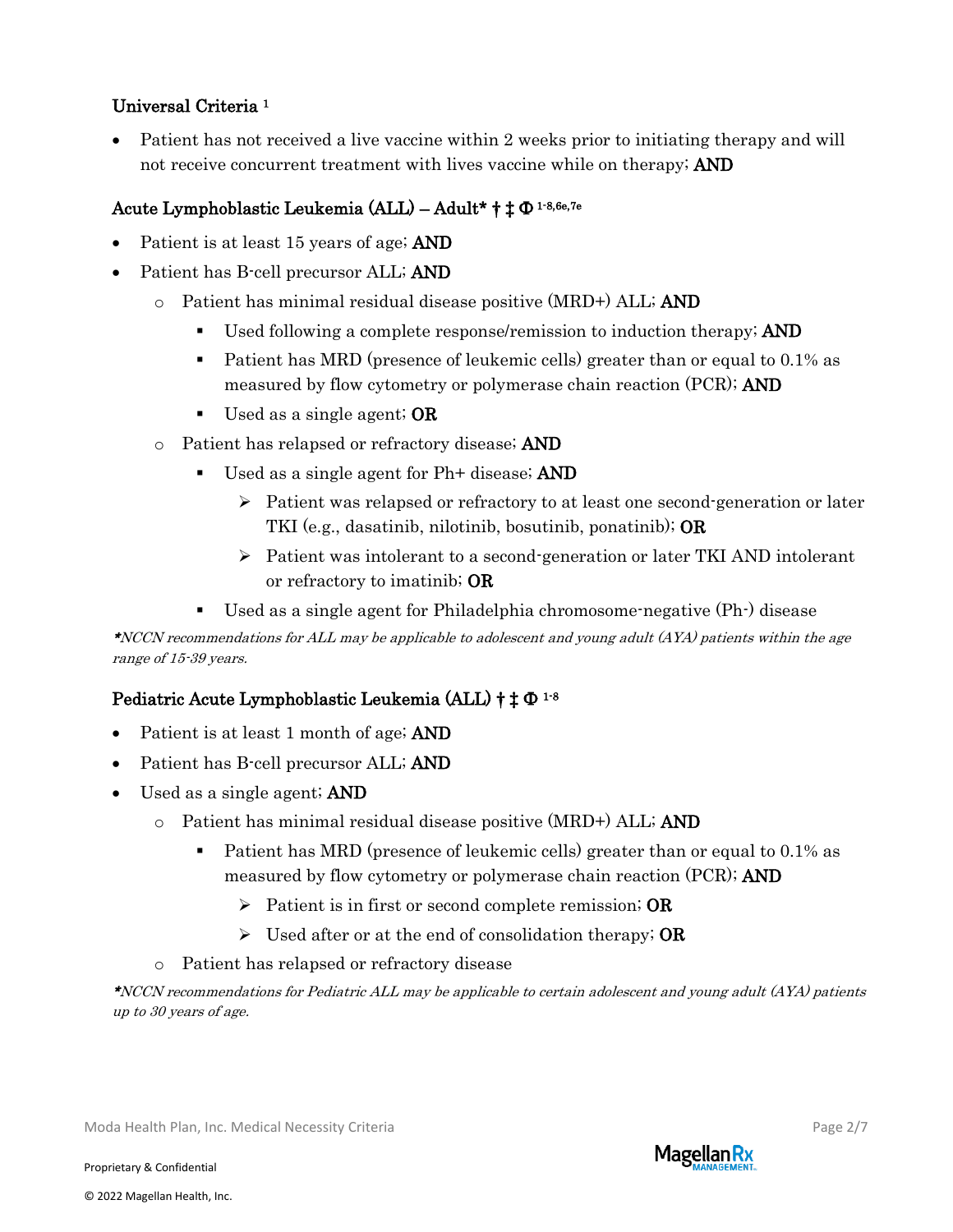## Universal Criteria 1

• Patient has not received a live vaccine within 2 weeks prior to initiating therapy and will not receive concurrent treatment with lives vaccine while on therapy; AND

## Acute Lymphoblastic Leukemia  $(ALL)$  – Adult\*  $\dagger \uparrow \Phi$ <sup>1-8,6e,7e</sup>

- Patient is at least 15 years of age; **AND**
- Patient has B-cell precursor ALL; AND
	- o Patient has minimal residual disease positive (MRD+) ALL; AND
		- **•** Used following a complete response/remission to induction therapy; **AND**
		- Patient has MRD (presence of leukemic cells) greater than or equal to 0.1% as measured by flow cytometry or polymerase chain reaction (PCR); **AND**
		- **•** Used as a single agent; **OR**
	- o Patient has relapsed or refractory disease; AND
		- Used as a single agent for  $Ph+$  disease;  $AND$ 
			- ➢ Patient was relapsed or refractory to at least one second-generation or later TKI (e.g., dasatinib, nilotinib, bosutinib, ponatinib); OR
			- ➢ Patient was intolerant to a second-generation or later TKI AND intolerant or refractory to imatinib; OR
		- Used as a single agent for Philadelphia chromosome-negative (Ph-) disease

\*NCCN recommendations for ALL may be applicable to adolescent and young adult (AYA) patients within the age range of 15-39 years.

## Pediatric Acute Lymphoblastic Leukemia (ALL) † ‡ Ф 1-8

- Patient is at least 1 month of age; **AND**
- Patient has B-cell precursor ALL; AND
- Used as a single agent; **AND** 
	- o Patient has minimal residual disease positive (MRD+) ALL; AND
		- Patient has MRD (presence of leukemic cells) greater than or equal to 0.1% as measured by flow cytometry or polymerase chain reaction (PCR); **AND** 
			- $\triangleright$  Patient is in first or second complete remission; OR
			- $\triangleright$  Used after or at the end of consolidation therapy; OR
	- o Patient has relapsed or refractory disease

\*NCCN recommendations for Pediatric ALL may be applicable to certain adolescent and young adult (AYA) patients up to 30 years of age.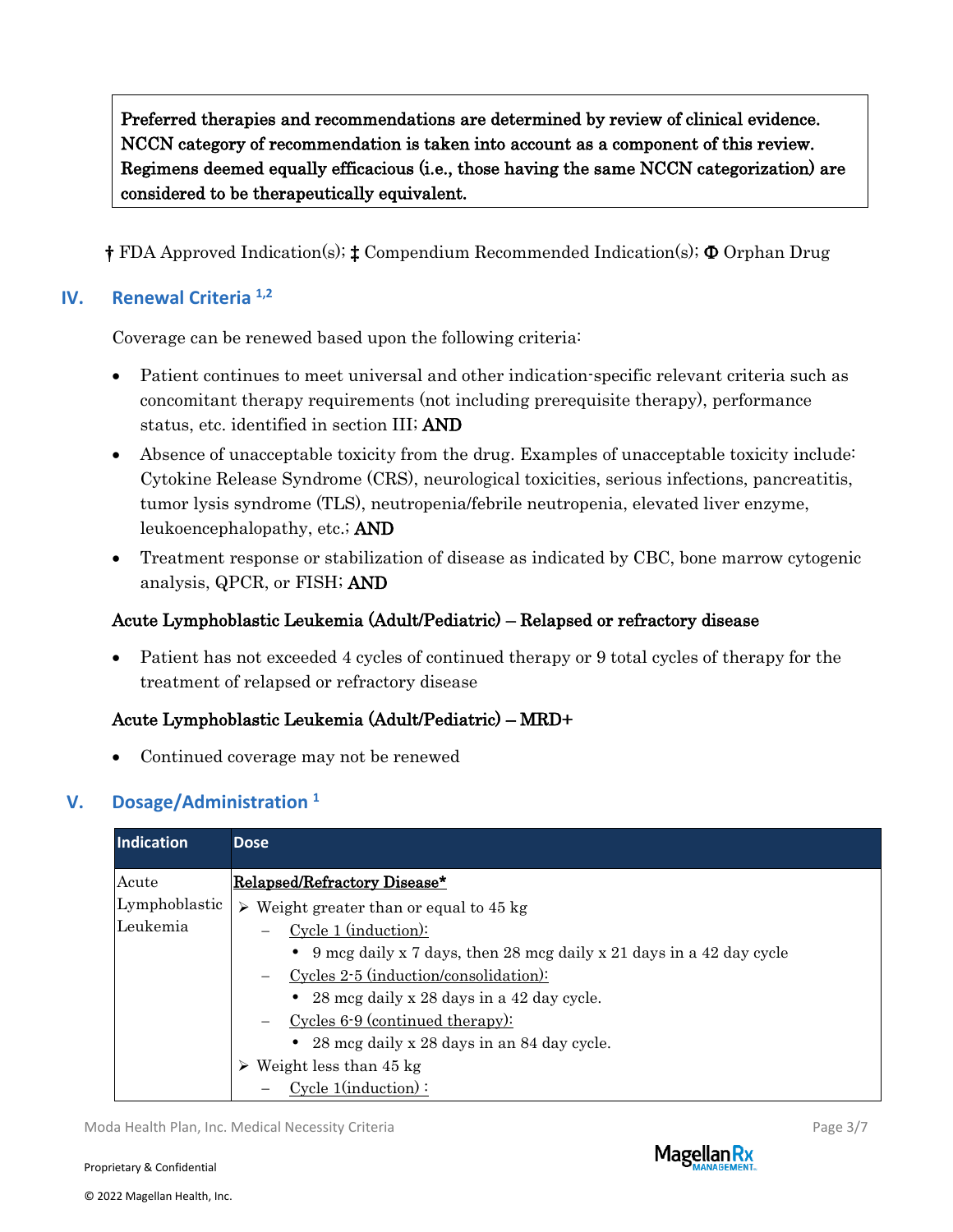Preferred therapies and recommendations are determined by review of clinical evidence. NCCN category of recommendation is taken into account as a component of this review. Regimens deemed equally efficacious (i.e., those having the same NCCN categorization) are considered to be therapeutically equivalent.

† FDA Approved Indication(s); ‡ Compendium Recommended Indication(s); Ф Orphan Drug

## **IV. Renewal Criteria 1,2**

Coverage can be renewed based upon the following criteria:

- Patient continues to meet universal and other indication-specific relevant criteria such as concomitant therapy requirements (not including prerequisite therapy), performance status, etc. identified in section III; AND
- Absence of unacceptable toxicity from the drug. Examples of unacceptable toxicity include: Cytokine Release Syndrome (CRS), neurological toxicities, serious infections, pancreatitis, tumor lysis syndrome (TLS), neutropenia/febrile neutropenia, elevated liver enzyme, leukoencephalopathy, etc.; AND
- Treatment response or stabilization of disease as indicated by CBC, bone marrow cytogenic analysis, QPCR, or FISH; AND

## Acute Lymphoblastic Leukemia (Adult/Pediatric) – Relapsed or refractory disease

Patient has not exceeded 4 cycles of continued therapy or 9 total cycles of therapy for the treatment of relapsed or refractory disease

## Acute Lymphoblastic Leukemia (Adult/Pediatric) – MRD+

• Continued coverage may not be renewed

## **V. Dosage/Administration <sup>1</sup>**

| Indication    | <b>Dose</b>                                                         |  |
|---------------|---------------------------------------------------------------------|--|
| Acute         | Relapsed/Refractory Disease*                                        |  |
| Lymphoblastic | Weight greater than or equal to 45 kg<br>➤                          |  |
| Leukemia      | Cycle 1 (induction):                                                |  |
|               | 9 mcg daily x 7 days, then 28 mcg daily x 21 days in a 42 day cycle |  |
|               | $Cycles 2-5 (induction/consideration):$                             |  |
|               | 28 mcg daily x 28 days in a 42 day cycle.                           |  |
|               | Cycles $6-9$ (continued therapy):                                   |  |
|               | 28 mcg daily x 28 days in an 84 day cycle.                          |  |
|               | Weight less than 45 kg                                              |  |
|               | Cycle 1(induction):                                                 |  |

Moda Health Plan, Inc. Medical Necessity Criteria **Page 3/7** and 2008 and 2008 and 2008 and 2008 and 2008 and 200

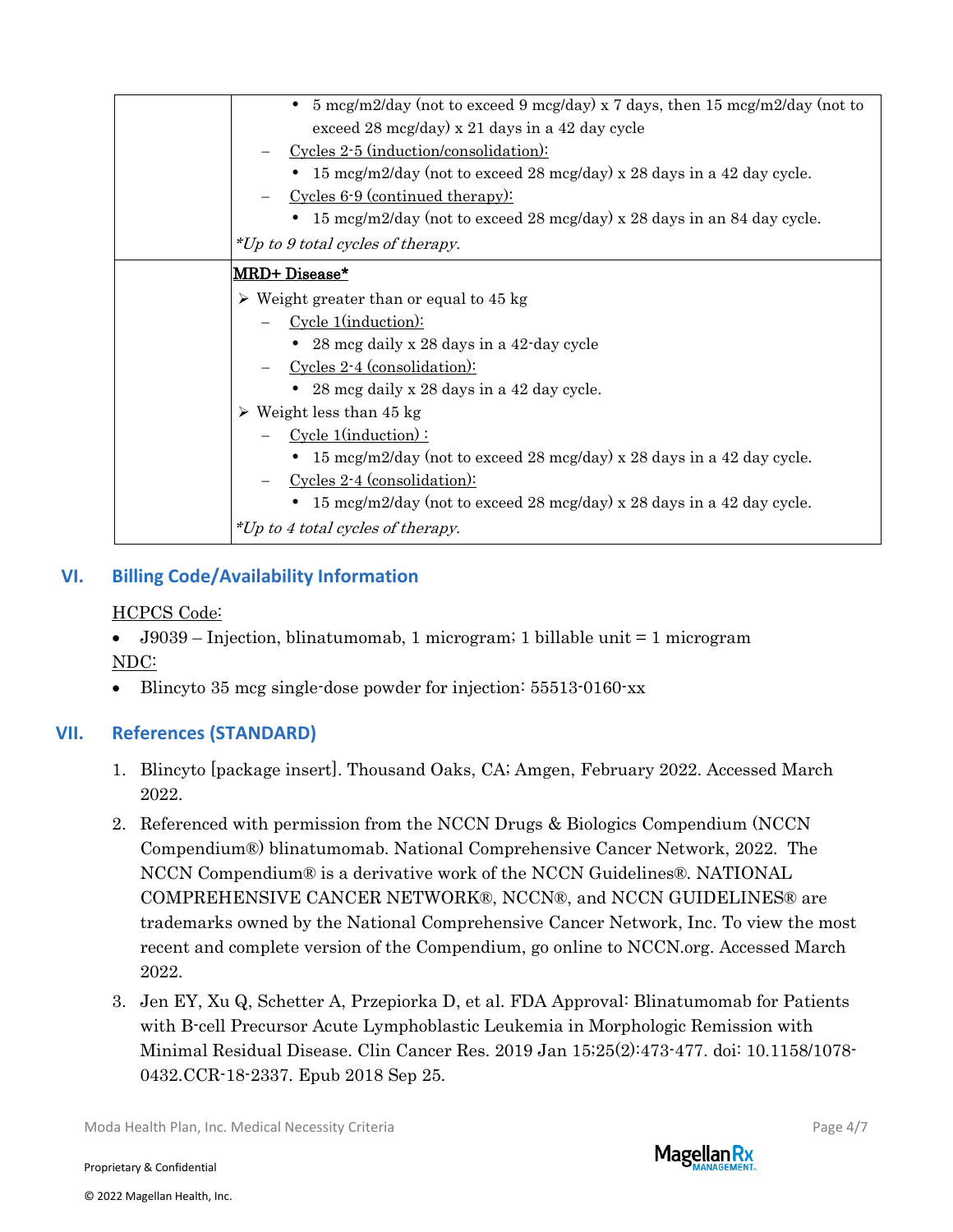| 5 mcg/m2/day (not to exceed 9 mcg/day) x 7 days, then 15 mcg/m2/day (not to<br>$\bullet$ |  |  |
|------------------------------------------------------------------------------------------|--|--|
|                                                                                          |  |  |
| exceed 28 mcg/day) $x$ 21 days in a 42 day cycle                                         |  |  |
| $Cycles 2-5 (induction/consideration):$                                                  |  |  |
| • 15 mcg/m2/day (not to exceed 28 mcg/day) x 28 days in a 42 day cycle.                  |  |  |
| Cycles $6-9$ (continued therapy):                                                        |  |  |
| 15 mcg/m2/day (not to exceed 28 mcg/day) x 28 days in an 84 day cycle.                   |  |  |
| *Up to 9 total cycles of therapy.                                                        |  |  |
| MRD+ Disease*                                                                            |  |  |
| $\triangleright$ Weight greater than or equal to 45 kg                                   |  |  |
| Cycle1(induction):                                                                       |  |  |
| • 28 mcg daily x 28 days in a 42-day cycle                                               |  |  |
| Cycles $2-4$ (consolidation):                                                            |  |  |
| • 28 mcg daily x 28 days in a 42 day cycle.                                              |  |  |
| $\triangleright$ Weight less than 45 kg                                                  |  |  |
| Cycle 1(induction):                                                                      |  |  |
| • 15 mcg/m2/day (not to exceed 28 mcg/day) x 28 days in a 42 day cycle.                  |  |  |
| $Cycles 2-4 (consideration):$                                                            |  |  |
| 15 mcg/m2/day (not to exceed 28 mcg/day) x 28 days in a 42 day cycle.                    |  |  |
| *Up to 4 total cycles of therapy.                                                        |  |  |

# **VI. Billing Code/Availability Information**

#### HCPCS Code:

- J $9039$  Injection, blinatumomab, 1 microgram; 1 billable unit = 1 microgram NDC:
- Blincyto 35 mcg single-dose powder for injection: 55513-0160-xx

## **VII. References (STANDARD)**

- 1. Blincyto [package insert]. Thousand Oaks, CA; Amgen, February 2022. Accessed March 2022.
- 2. Referenced with permission from the NCCN Drugs & Biologics Compendium (NCCN Compendium®) blinatumomab. National Comprehensive Cancer Network, 2022. The NCCN Compendium® is a derivative work of the NCCN Guidelines®. NATIONAL COMPREHENSIVE CANCER NETWORK®, NCCN®, and NCCN GUIDELINES® are trademarks owned by the National Comprehensive Cancer Network, Inc. To view the most recent and complete version of the Compendium, go online to NCCN.org. Accessed March 2022.
- 3. Jen EY, Xu Q, Schetter A, Przepiorka D, et al. FDA Approval: Blinatumomab for Patients with B-cell Precursor Acute Lymphoblastic Leukemia in Morphologic Remission with Minimal Residual Disease. Clin Cancer Res. 2019 Jan 15;25(2):473-477. doi: 10.1158/1078- 0432.CCR-18-2337. Epub 2018 Sep 25.

Moda Health Plan, Inc. Medical Necessity Criteria **Page 4/7** And the entry of the Page 4/7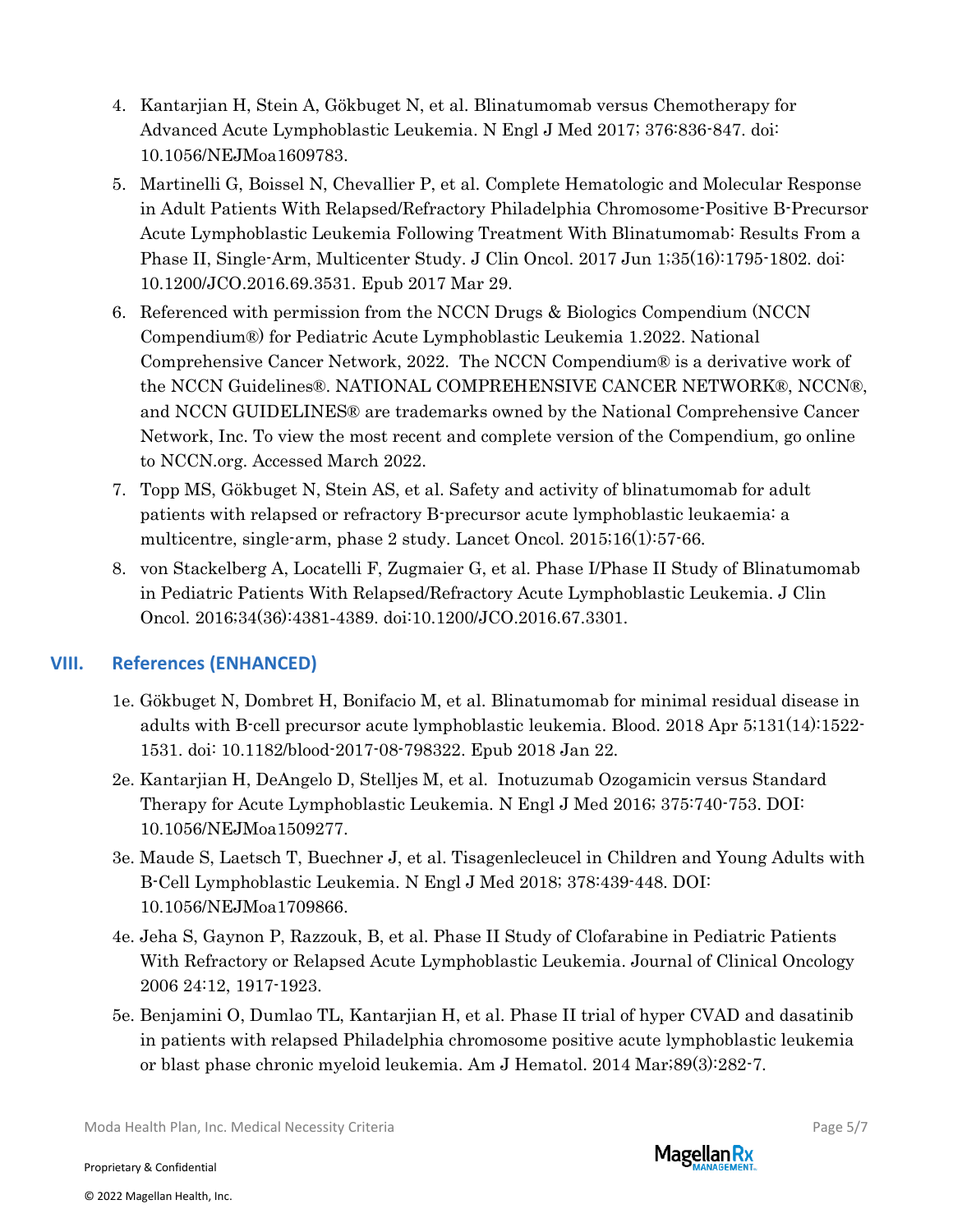- 4. Kantarjian H, Stein A, Gökbuget N, et al. Blinatumomab versus Chemotherapy for Advanced Acute Lymphoblastic Leukemia. N Engl J Med 2017; 376:836-847. doi: 10.1056/NEJMoa1609783.
- 5. Martinelli G, Boissel N, Chevallier P, et al. Complete Hematologic and Molecular Response in Adult Patients With Relapsed/Refractory Philadelphia Chromosome-Positive B-Precursor Acute Lymphoblastic Leukemia Following Treatment With Blinatumomab: Results From a Phase II, Single-Arm, Multicenter Study. J Clin Oncol. 2017 Jun 1;35(16):1795-1802. doi: 10.1200/JCO.2016.69.3531. Epub 2017 Mar 29.
- 6. Referenced with permission from the NCCN Drugs & Biologics Compendium (NCCN Compendium®) for Pediatric Acute Lymphoblastic Leukemia 1.2022. National Comprehensive Cancer Network, 2022. The NCCN Compendium® is a derivative work of the NCCN Guidelines®. NATIONAL COMPREHENSIVE CANCER NETWORK®, NCCN®, and NCCN GUIDELINES® are trademarks owned by the National Comprehensive Cancer Network, Inc. To view the most recent and complete version of the Compendium, go online to NCCN.org. Accessed March 2022.
- 7. Topp MS, Gökbuget N, Stein AS, et al. Safety and activity of blinatumomab for adult patients with relapsed or refractory B-precursor acute lymphoblastic leukaemia: a multicentre, single-arm, phase 2 study. Lancet Oncol. 2015;16(1):57-66.
- 8. von Stackelberg A, Locatelli F, Zugmaier G, et al. Phase I/Phase II Study of Blinatumomab in Pediatric Patients With Relapsed/Refractory Acute Lymphoblastic Leukemia. J Clin Oncol. 2016;34(36):4381‐4389. doi:10.1200/JCO.2016.67.3301.

## **VIII. References (ENHANCED)**

- 1e. Gökbuget N, Dombret H, Bonifacio M, et al. Blinatumomab for minimal residual disease in adults with B-cell precursor acute lymphoblastic leukemia. Blood. 2018 Apr 5;131(14):1522- 1531. doi: 10.1182/blood-2017-08-798322. Epub 2018 Jan 22.
- 2e. Kantarjian H, DeAngelo D, Stelljes M, et al. Inotuzumab Ozogamicin versus Standard Therapy for Acute Lymphoblastic Leukemia. N Engl J Med 2016; 375:740-753. DOI: 10.1056/NEJMoa1509277.
- 3e. Maude S, Laetsch T, Buechner J, et al. Tisagenlecleucel in Children and Young Adults with B-Cell Lymphoblastic Leukemia. N Engl J Med 2018; 378:439-448. DOI: 10.1056/NEJMoa1709866.
- 4e. Jeha S, Gaynon P, Razzouk, B, et al. Phase II Study of Clofarabine in Pediatric Patients With Refractory or Relapsed Acute Lymphoblastic Leukemia. Journal of Clinical Oncology 2006 24:12, 1917-1923.
- 5e. Benjamini O, Dumlao TL, Kantarjian H, et al. Phase II trial of hyper CVAD and dasatinib in patients with relapsed Philadelphia chromosome positive acute lymphoblastic leukemia or blast phase chronic myeloid leukemia. Am J Hematol. 2014 Mar;89(3):282-7.

Moda Health Plan, Inc. Medical Necessity Criteria **Page 5/7** and Controller Page 5/7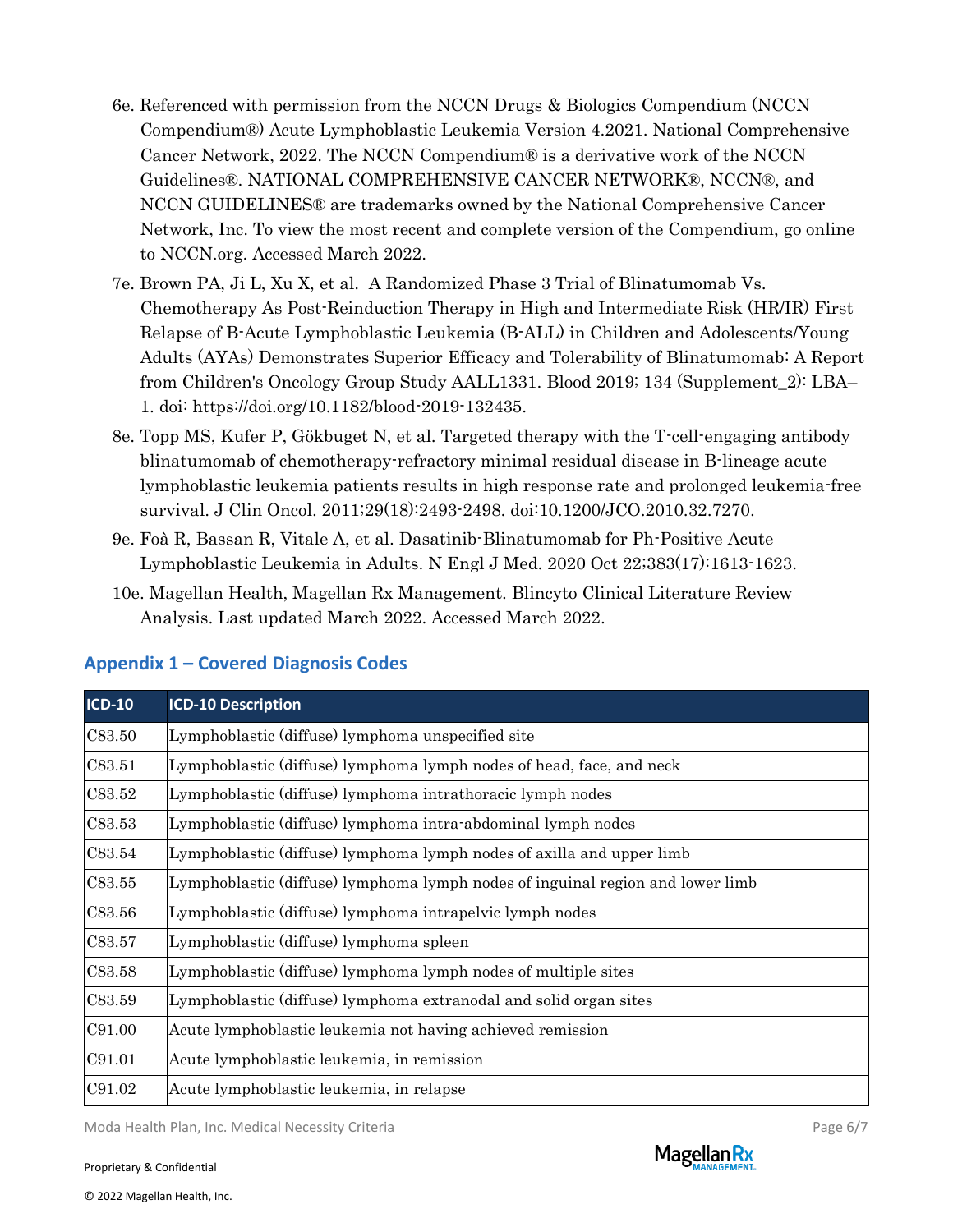- 6e. Referenced with permission from the NCCN Drugs & Biologics Compendium (NCCN Compendium®) Acute Lymphoblastic Leukemia Version 4.2021. National Comprehensive Cancer Network, 2022. The NCCN Compendium® is a derivative work of the NCCN Guidelines®. NATIONAL COMPREHENSIVE CANCER NETWORK®, NCCN®, and NCCN GUIDELINES® are trademarks owned by the National Comprehensive Cancer Network, Inc. To view the most recent and complete version of the Compendium, go online to NCCN.org. Accessed March 2022.
- 7e. Brown PA, Ji L, Xu X, et al. A Randomized Phase 3 Trial of Blinatumomab Vs. Chemotherapy As Post-Reinduction Therapy in High and Intermediate Risk (HR/IR) First Relapse of B-Acute Lymphoblastic Leukemia (B-ALL) in Children and Adolescents/Young Adults (AYAs) Demonstrates Superior Efficacy and Tolerability of Blinatumomab: A Report from Children's Oncology Group Study AALL1331. Blood 2019; 134 (Supplement\_2): LBA– 1. doi: [https://doi.org/10.1182/blood-2019-132435.](https://doi.org/10.1182/blood-2019-132435)
- 8e. Topp MS, Kufer P, Gökbuget N, et al. Targeted therapy with the T-cell-engaging antibody blinatumomab of chemotherapy-refractory minimal residual disease in B-lineage acute lymphoblastic leukemia patients results in high response rate and prolonged leukemia-free survival. J Clin Oncol. 2011;29(18):2493-2498. doi:10.1200/JCO.2010.32.7270.
- 9e. Foà R, Bassan R, Vitale A, et al. Dasatinib-Blinatumomab for Ph-Positive Acute Lymphoblastic Leukemia in Adults. N Engl J Med. 2020 Oct 22;383(17):1613-1623.
- 10e. Magellan Health, Magellan Rx Management. Blincyto Clinical Literature Review Analysis. Last updated March 2022. Accessed March 2022.

| <b>ICD-10</b> | <b>ICD-10 Description</b>                                                      |  |
|---------------|--------------------------------------------------------------------------------|--|
| C83.50        | Lymphoblastic (diffuse) lymphoma unspecified site                              |  |
| C83.51        | Lymphoblastic (diffuse) lymphoma lymph nodes of head, face, and neck           |  |
| C83.52        | Lymphoblastic (diffuse) lymphoma intrathoracic lymph nodes                     |  |
| C83.53        | Lymphoblastic (diffuse) lymphoma intra-abdominal lymph nodes                   |  |
| C83.54        | Lymphoblastic (diffuse) lymphoma lymph nodes of axilla and upper limb          |  |
| C83.55        | Lymphoblastic (diffuse) lymphoma lymph nodes of inguinal region and lower limb |  |
| C83.56        | Lymphoblastic (diffuse) lymphoma intrapelvic lymph nodes                       |  |
| C83.57        | Lymphoblastic (diffuse) lymphoma spleen                                        |  |
| C83.58        | Lymphoblastic (diffuse) lymphoma lymph nodes of multiple sites                 |  |
| C83.59        | Lymphoblastic (diffuse) lymphoma extranodal and solid organ sites              |  |
| C91.00        | Acute lymphoblastic leukemia not having achieved remission                     |  |
| C91.01        | Acute lymphoblastic leukemia, in remission                                     |  |
| C91.02        | Acute lymphoblastic leukemia, in relapse                                       |  |

## **Appendix 1 – Covered Diagnosis Codes**

Moda Health Plan, Inc. Medical Necessity Criteria **Page 6/7** and 2011 11:30 and 2012 12:30 and 2013